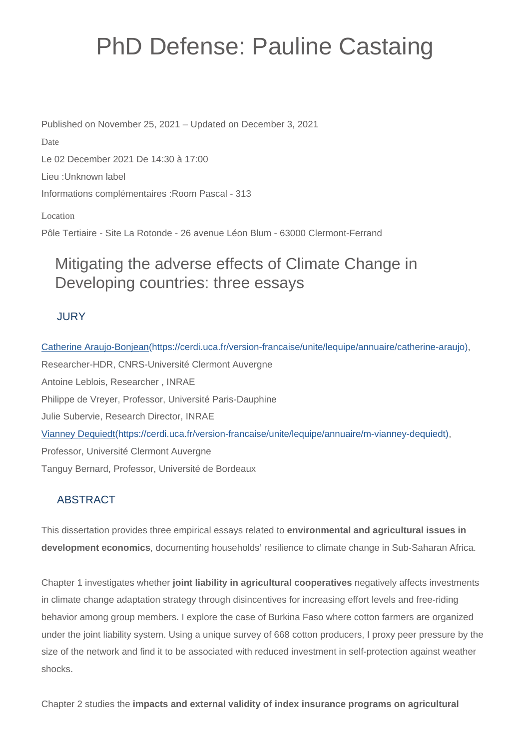# PhD Defense: Pauline Castaing

Published on November 25, 2021 – Updated on December 3, 2021 Date Le 02 December 2021 De 14:30 à 17:00 Lieu :Unknown label Informations complémentaires :Room Pascal - 313

Location

Pôle Tertiaire - Site La Rotonde - 26 avenue Léon Blum - 63000 Clermont-Ferrand

# Mitigating the adverse effects of Climate Change in Developing countries: three essays

### **JURY**

[Catherine Araujo-Bonjean\(https://cerdi.uca.fr/version-francaise/unite/lequipe/annuaire/catherine-araujo\),](https://cerdi.uca.fr/version-francaise/unite/lequipe/annuaire/catherine-araujo) Researcher-HDR, CNRS-Université Clermont Auvergne Antoine Leblois, Researcher , INRAE Philippe de Vreyer, Professor, Université Paris-Dauphine Julie Subervie, Research Director, INRAE [Vianney Dequiedt\(https://cerdi.uca.fr/version-francaise/unite/lequipe/annuaire/m-vianney-dequiedt\)](https://cerdi.uca.fr/version-francaise/unite/lequipe/annuaire/m-vianney-dequiedt), Professor, Université Clermont Auvergne Tanguy Bernard, Professor, Université de Bordeaux

## ABSTRACT

This dissertation provides three empirical essays related to **environmental and agricultural issues in development economics**, documenting households' resilience to climate change in Sub-Saharan Africa.

Chapter 1 investigates whether **joint liability in agricultural cooperatives** negatively affects investments in climate change adaptation strategy through disincentives for increasing effort levels and free-riding behavior among group members. I explore the case of Burkina Faso where cotton farmers are organized under the joint liability system. Using a unique survey of 668 cotton producers, I proxy peer pressure by the size of the network and find it to be associated with reduced investment in self-protection against weather shocks.

Chapter 2 studies the **impacts and external validity of index insurance programs on agricultural**